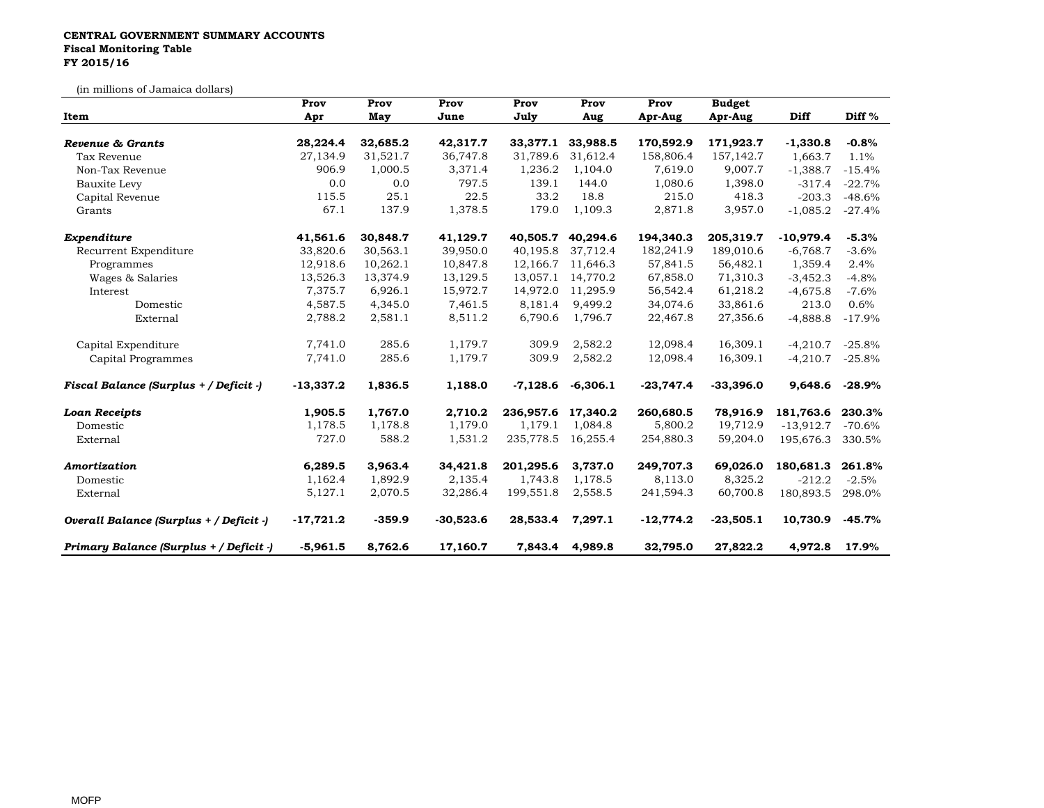## **CENTRAL GOVERNMENT SUMMARY ACCOUNTS Fiscal Monitoring Table FY 2015/16**

(in millions of Jamaica dollars)

| un millions of oaimaica dollars,<br>Item | Prov<br>Apr | Prov<br>May | Prov<br>June | Prov<br>July       | Prov<br>Aug           | Prov<br>Apr-Aug | <b>Budget</b><br>Apr-Aug | <b>Diff</b> | Diff <sup>%</sup> |
|------------------------------------------|-------------|-------------|--------------|--------------------|-----------------------|-----------------|--------------------------|-------------|-------------------|
|                                          |             |             |              |                    |                       |                 |                          |             |                   |
| Tax Revenue                              | 27,134.9    | 31,521.7    | 36,747.8     | 31,789.6           | 31,612.4              | 158,806.4       | 157,142.7                | 1,663.7     | 1.1%              |
| Non-Tax Revenue                          | 906.9       | 1,000.5     | 3,371.4      | 1,236.2            | 1,104.0               | 7,619.0         | 9,007.7                  | $-1,388.7$  | $-15.4%$          |
| Bauxite Levy                             | 0.0         | 0.0         | 797.5        | 139.1              | 144.0                 | 1,080.6         | 1,398.0                  | $-317.4$    | $-22.7%$          |
| Capital Revenue                          | 115.5       | 25.1        | 22.5         | 33.2               | 18.8                  | 215.0           | 418.3                    | $-203.3$    | $-48.6%$          |
| Grants                                   | 67.1        | 137.9       | 1,378.5      | 179.0              | 1,109.3               | 2,871.8         | 3,957.0                  | $-1,085.2$  | $-27.4%$          |
| Expenditure                              | 41,561.6    | 30,848.7    | 41,129.7     | 40,505.7           | 40,294.6              | 194,340.3       | 205,319.7                | $-10,979.4$ | $-5.3%$           |
| Recurrent Expenditure                    | 33,820.6    | 30,563.1    | 39,950.0     | 40,195.8           | 37,712.4              | 182,241.9       | 189,010.6                | $-6,768.7$  | $-3.6%$           |
| Programmes                               | 12,918.6    | 10,262.1    | 10,847.8     |                    | 12,166.7 11,646.3     | 57,841.5        | 56,482.1                 | 1,359.4     | 2.4%              |
| Wages & Salaries                         | 13,526.3    | 13,374.9    | 13,129.5     |                    | 13,057.1 14,770.2     | 67,858.0        | 71,310.3                 | $-3,452.3$  | $-4.8%$           |
| Interest                                 | 7,375.7     | 6,926.1     | 15,972.7     | 14,972.0           | 11,295.9              | 56,542.4        | 61,218.2                 | $-4,675.8$  | $-7.6%$           |
| Domestic                                 | 4,587.5     | 4,345.0     | 7,461.5      | 8,181.4            | 9,499.2               | 34,074.6        | 33,861.6                 | 213.0       | 0.6%              |
| External                                 | 2,788.2     | 2,581.1     | 8,511.2      | 6,790.6            | 1,796.7               | 22,467.8        | 27,356.6                 | $-4,888.8$  | $-17.9\%$         |
| Capital Expenditure                      | 7,741.0     | 285.6       | 1,179.7      | 309.9              | 2,582.2               | 12,098.4        | 16,309.1                 | $-4,210.7$  | $-25.8%$          |
| Capital Programmes                       | 7,741.0     | 285.6       | 1,179.7      | 309.9              | 2,582.2               | 12,098.4        | 16,309.1                 | $-4,210.7$  | $-25.8%$          |
| Fiscal Balance (Surplus + / Deficit -)   | $-13,337.2$ | 1,836.5     | 1,188.0      |                    | $-7,128.6$ $-6,306.1$ | $-23,747.4$     | $-33,396.0$              | 9,648.6     | $-28.9\%$         |
| <b>Loan Receipts</b>                     | 1,905.5     | 1,767.0     | 2,710.2      | 236,957.6          | 17,340.2              | 260,680.5       | 78,916.9                 | 181,763.6   | 230.3%            |
| Domestic                                 | 1,178.5     | 1,178.8     | 1,179.0      | 1,179.1            | 1,084.8               | 5,800.2         | 19,712.9                 | $-13,912.7$ | -70.6%            |
| External                                 | 727.0       | 588.2       | 1,531.2      | 235,778.5 16,255.4 |                       | 254,880.3       | 59,204.0                 | 195,676.3   | 330.5%            |
| Amortization                             | 6,289.5     | 3,963.4     | 34,421.8     | 201,295.6          | 3,737.0               | 249,707.3       | 69,026.0                 | 180,681.3   | 261.8%            |
| Domestic                                 | 1,162.4     | 1,892.9     | 2,135.4      | 1,743.8            | 1,178.5               | 8,113.0         | 8,325.2                  | $-212.2$    | $-2.5\%$          |
| External                                 | 5,127.1     | 2,070.5     | 32,286.4     | 199,551.8          | 2,558.5               | 241,594.3       | 60,700.8                 | 180,893.5   | 298.0%            |
| Overall Balance (Surplus + / Deficit -)  | $-17,721.2$ | $-359.9$    | $-30,523.6$  | 28,533.4           | 7,297.1               | $-12,774.2$     | $-23,505.1$              | 10,730.9    | $-45.7\%$         |
| Primary Balance (Surplus + / Deficit -)  | $-5,961.5$  | 8,762.6     | 17,160.7     | 7,843.4            | 4,989.8               | 32,795.0        | 27,822.2                 | 4,972.8     | 17.9%             |